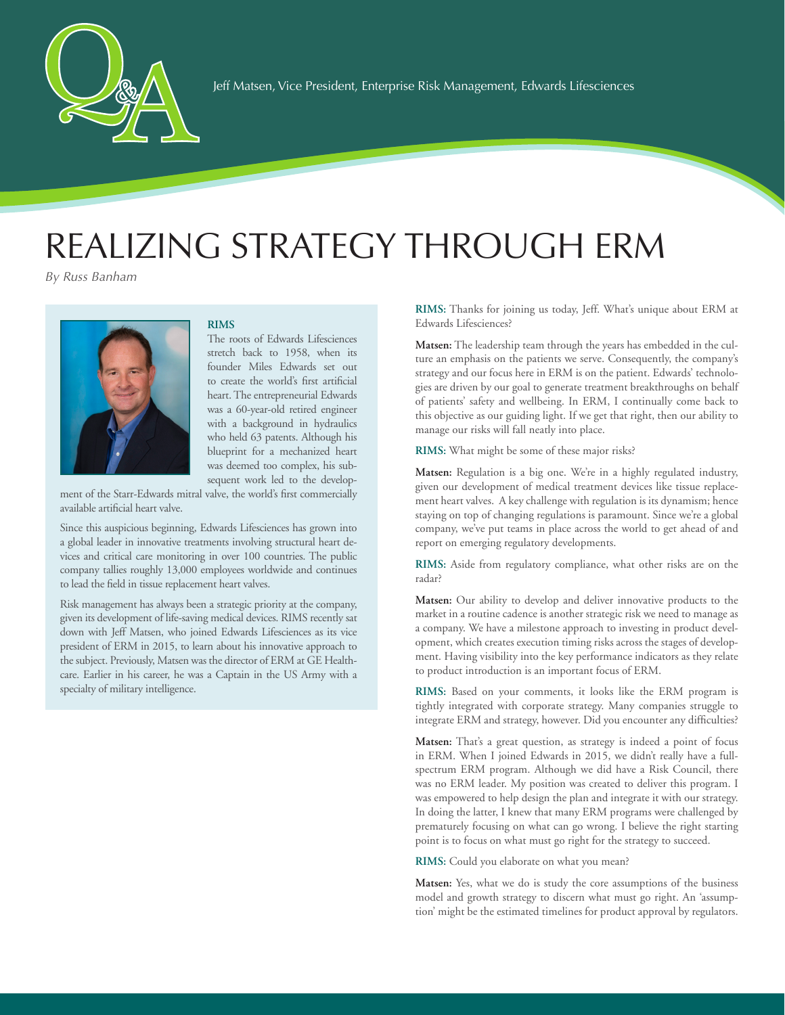

## REALIZING STRATEGY THROUGH ERM

*By Russ Banham*



## **RIMS**

The roots of Edwards Lifesciences stretch back to 1958, when its founder Miles Edwards set out to create the world's first artificial heart. The entrepreneurial Edwards was a 60-year-old retired engineer with a background in hydraulics who held 63 patents. Although his blueprint for a mechanized heart was deemed too complex, his subsequent work led to the develop-

ment of the Starr-Edwards mitral valve, the world's first commercially available artificial heart valve.

Since this auspicious beginning, Edwards Lifesciences has grown into a global leader in innovative treatments involving structural heart devices and critical care monitoring in over 100 countries. The public company tallies roughly 13,000 employees worldwide and continues to lead the field in tissue replacement heart valves.

Risk management has always been a strategic priority at the company, given its development of life-saving medical devices. RIMS recently sat down with Jeff Matsen, who joined Edwards Lifesciences as its vice president of ERM in 2015, to learn about his innovative approach to the subject. Previously, Matsen was the director of ERM at GE Healthcare. Earlier in his career, he was a Captain in the US Army with a specialty of military intelligence.

**RIMS:** Thanks for joining us today, Jeff. What's unique about ERM at Edwards Lifesciences?

**Matsen:** The leadership team through the years has embedded in the culture an emphasis on the patients we serve. Consequently, the company's strategy and our focus here in ERM is on the patient. Edwards' technologies are driven by our goal to generate treatment breakthroughs on behalf of patients' safety and wellbeing. In ERM, I continually come back to this objective as our guiding light. If we get that right, then our ability to manage our risks will fall neatly into place.

**RIMS:** What might be some of these major risks?

**Matsen:** Regulation is a big one. We're in a highly regulated industry, given our development of medical treatment devices like tissue replacement heart valves. A key challenge with regulation is its dynamism; hence staying on top of changing regulations is paramount. Since we're a global company, we've put teams in place across the world to get ahead of and report on emerging regulatory developments.

**RIMS:** Aside from regulatory compliance, what other risks are on the radar?

**Matsen:** Our ability to develop and deliver innovative products to the market in a routine cadence is another strategic risk we need to manage as a company. We have a milestone approach to investing in product development, which creates execution timing risks across the stages of development. Having visibility into the key performance indicators as they relate to product introduction is an important focus of ERM.

**RIMS:** Based on your comments, it looks like the ERM program is tightly integrated with corporate strategy. Many companies struggle to integrate ERM and strategy, however. Did you encounter any difficulties?

**Matsen:** That's a great question, as strategy is indeed a point of focus in ERM. When I joined Edwards in 2015, we didn't really have a fullspectrum ERM program. Although we did have a Risk Council, there was no ERM leader. My position was created to deliver this program. I was empowered to help design the plan and integrate it with our strategy. In doing the latter, I knew that many ERM programs were challenged by prematurely focusing on what can go wrong. I believe the right starting point is to focus on what must go right for the strategy to succeed.

**RIMS:** Could you elaborate on what you mean?

**Matsen:** Yes, what we do is study the core assumptions of the business model and growth strategy to discern what must go right. An 'assumption' might be the estimated timelines for product approval by regulators.